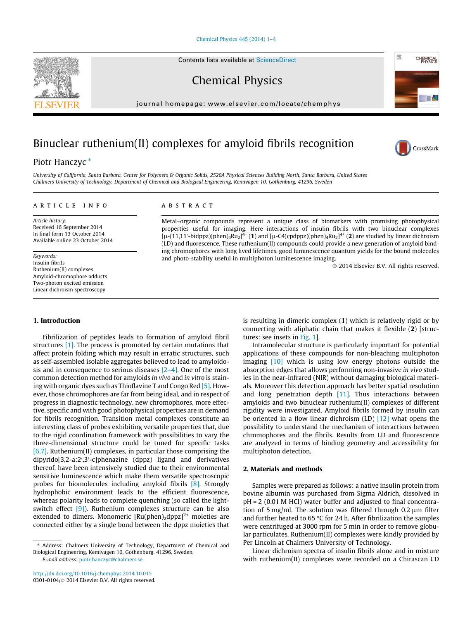[Chemical Physics 445 \(2014\) 1–4](http://dx.doi.org/10.1016/j.chemphys.2014.10.015)

Contents lists available at [ScienceDirect](http://www.sciencedirect.com/science/journal/03010104)

Chemical Physics

journal homepage: [www.elsevier.com/locate/chemphys](http://www.elsevier.com/locate/chemphys)

# Binuclear ruthenium(II) complexes for amyloid fibrils recognition

# Piotr Hanczyc<sup>\*</sup>

University of California, Santa Barbara, Center for Polymers & Organic Solids, 2520A Physical Sciences Building North, Santa Barbara, United States Chalmers University of Technology, Department of Chemical and Biological Engineering, Kemivagen 10, Gothenburg, 41296, Sweden

## article info

Article history: Received 16 September 2014 In final form 13 October 2014 Available online 23 October 2014

Keywords: Insulin fibrils Ruthenium(II) complexes Amyloid-chromophore adducts Two-photon excited emission Linear dichroism spectroscopy

# 1. Introduction

Fibrilization of peptides leads to formation of amyloid fibril structures [\[1\]](#page-3-0). The process is promoted by certain mutations that affect protein folding which may result in erratic structures, such as self-assembled isolable aggregates believed to lead to amyloidosis and in consequence to serious diseases  $[2-4]$ . One of the most common detection method for amyloids in vivo and in vitro is staining with organic dyes such as Thioflavine T and Congo Red [\[5\]](#page-3-0). However, those chromophores are far from being ideal, and in respect of progress in diagnostic technology, new chromophores, more effective, specific and with good photophysical properties are in demand for fibrils recognition. Transition metal complexes constitute an interesting class of probes exhibiting versatile properties that, due to the rigid coordination framework with possibilities to vary the three-dimensional structure could be tuned for specific tasks [\[6,7\].](#page-3-0) Ruthenium(II) complexes, in particular those comprising the dipyrido[3,2-a:2',3'-c]phenazine (dppz) ligand and derivatives thereof, have been intensively studied due to their environmental sensitive luminescence which make them versatile spectroscopic probes for biomolecules including amyloid fibrils [\[8\]](#page-3-0). Strongly hydrophobic environment leads to the efficient fluorescence, whereas polarity leads to complete quenching (so called the light-switch effect [\[9\]](#page-3-0)). Ruthenium complexes structure can be also extended to dimers. Monomeric  $[Ru(phen)_2dppz]^{2+}$  moieties are connected either by a single bond between the dppz moieties that

E-mail address: [piotr.hanczyc@chalmers.se](mailto:piotr.hanczyc@chalmers.se)

# **ABSTRACT**

Metal–organic compounds represent a unique class of biomarkers with promising photophysical properties useful for imaging. Here interactions of insulin fibrils with two binuclear complexes  $[\mu-(11,11'-bidppz)(phen)_4Ru_2]^{4+}$  (1) and  $[\mu$ -C4(cpdppz)(phen)<sub>4</sub>Ru<sub>2</sub>]<sup>4+</sup> (2) are studied by linear dichroism (LD) and fluorescence. These ruthenium(II) compounds could provide a new generation of amyloid binding chromophores with long lived lifetimes, good luminescence quantum yields for the bound molecules and photo-stability useful in multiphoton luminescence imaging.

- 2014 Elsevier B.V. All rights reserved.

is resulting in dimeric complex (1) which is relatively rigid or by connecting with aliphatic chain that makes it flexible (2) [structures: see insets in [Fig. 1\]](#page-1-0).

Intramolecular structure is particularly important for potential applications of these compounds for non-bleaching multiphoton imaging [\[10\]](#page-3-0) which is using low energy photons outside the absorption edges that allows performing non-invasive in vivo studies in the near-infrared (NIR) without damaging biological materials. Moreover this detection approach has better spatial resolution and long penetration depth  $[11]$ . Thus interactions between amyloids and two binuclear ruthenium(II) complexes of different rigidity were investigated. Amyloid fibrils formed by insulin can be oriented in a flow linear dichroism (LD) [\[12\]](#page-3-0) what opens the possibility to understand the mechanism of interactions between chromophores and the fibrils. Results from LD and fluorescence are analyzed in terms of binding geometry and accessibility for multiphoton detection.

#### 2. Materials and methods

Samples were prepared as follows: a native insulin protein from bovine albumin was purchased from Sigma Aldrich, dissolved in pH = 2 (0.01 M HCl) water buffer and adjusted to final concentration of 5 mg/ml. The solution was filtered through 0.2  $\mu$ m filter and further heated to 65 °C for 24 h. After fibrilization the samples were centrifuged at 3000 rpm for 5 min in order to remove globular particulates. Ruthenium(II) complexes were kindly provided by Per Lincoln at Chalmers University of Technology.

Linear dichroism spectra of insulin fibrils alone and in mixture with ruthenium(II) complexes were recorded on a Chirascan CD





攬

CHEMICAL

<sup>⇑</sup> Address: Chalmers University of Technology, Department of Chemical and Biological Engineering, Kemivagen 10, Gothenburg, 41296, Sweden.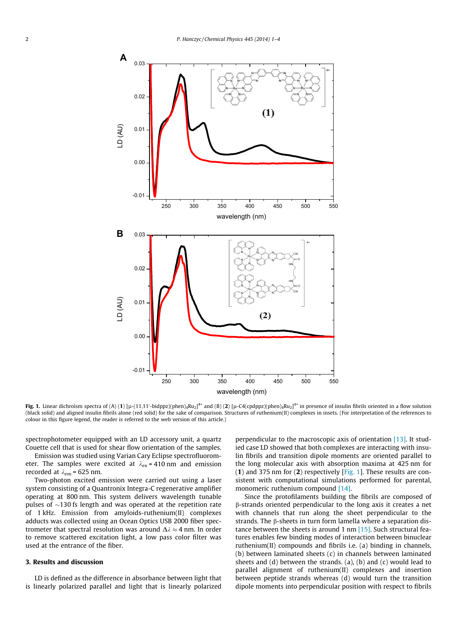<span id="page-1-0"></span>

**Fig. 1.** Linear dichroism spectra of (A) (**1**) [µ-(11,11′-bidppz)(phen)<sub>4</sub>Ru<sub>2</sub>]<sup>4+</sup> and (B) (**2**) [µ-C4(cpdppz)(phen)<sub>4</sub>Ru<sub>2</sub>]<sup>4+</sup> in presence of insulin fibrils oriented in a flow solution (black solid) and aligned insulin fibrils alone (red solid) for the sake of comparison. Structures of ruthenium(II) complexes in insets. (For interpretation of the references to colour in this figure legend, the reader is referred to the web version of this article.)

spectrophotometer equipped with an LD accessory unit, a quartz Couette cell that is used for shear flow orientation of the samples.

Emission was studied using Varian Cary Eclipse spectrofluorometer. The samples were excited at  $\lambda_{ex}$  = 410 nm and emission recorded at  $\lambda_{em}$  = 625 nm.

Two-photon excited emission were carried out using a laser system consisting of a Quantronix Integra-C regenerative amplifier operating at 800 nm. This system delivers wavelength tunable pulses of  ${\sim}$ 130 fs length and was operated at the repetition rate of 1 kHz. Emission from amyloids-ruthenium(II) complexes adducts was collected using an Ocean Optics USB 2000 fiber spectrometer that spectral resolution was around  $\Delta \lambda \approx 4$  nm. In order to remove scattered excitation light, a low pass color filter was used at the entrance of the fiber.

## 3. Results and discussion

LD is defined as the difference in absorbance between light that is linearly polarized parallel and light that is linearly polarized

perpendicular to the macroscopic axis of orientation [\[13\].](#page-3-0) It studied case LD showed that both complexes are interacting with insulin fibrils and transition dipole moments are oriented parallel to the long molecular axis with absorption maxima at 425 nm for (1) and 375 nm for  $(2)$  respectively [Fig. 1]. These results are consistent with computational simulations performed for parental, monomeric ruthenium compound [\[14\]](#page-3-0).

Since the protofilaments building the fibrils are composed of b-strands oriented perpendicular to the long axis it creates a net with channels that run along the sheet perpendicular to the strands. The  $\beta$ -sheets in turn form lamella where a separation distance between the sheets is around 1 nm [\[15\]](#page-3-0). Such structural features enables few binding modes of interaction between binuclear ruthenium(II) compounds and fibrils i.e. (a) binding in channels, (b) between laminated sheets (c) in channels between laminated sheets and  $(d)$  between the strands.  $(a)$ ,  $(b)$  and  $(c)$  would lead to parallel alignment of ruthenium(II) complexes and insertion between peptide strands whereas (d) would turn the transition dipole moments into perpendicular position with respect to fibrils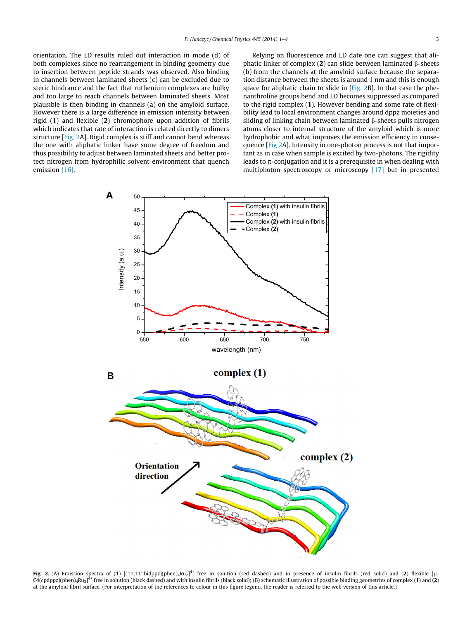orientation. The LD results ruled out interaction in mode (d) of both complexes since no rearrangement in binding geometry due to insertion between peptide strands was observed. Also binding in channels between laminated sheets (c) can be excluded due to steric hindrance and the fact that ruthenium complexes are bulky and too large to reach channels between laminated sheets. Most plausible is then binding in channels (a) on the amyloid surface. However there is a large difference in emission intensity between rigid (1) and flexible (2) chromophore upon addition of fibrils which indicates that rate of interaction is related directly to dimers structure [Fig. 2A]. Rigid complex is stiff and cannot bend whereas the one with aliphatic linker have some degree of freedom and thus possibility to adjust between laminated sheets and better protect nitrogen from hydrophilic solvent environment that quench emission [\[16\]](#page-3-0).

Relying on fluorescence and LD date one can suggest that aliphatic linker of complex  $(2)$  can slide between laminated  $\beta$ -sheets (b) from the channels at the amyloid surface because the separation distance between the sheets is around 1 nm and this is enough space for aliphatic chain to slide in [Fig. 2B]. In that case the phenanthroline groups bend and LD becomes suppressed as compared to the rigid complex (1). However bending and some rate of flexibility lead to local environment changes around dppz moieties and sliding of linking chain between laminated  $\beta$ -sheets pulls nitrogen atoms closer to internal structure of the amyloid which is more hydrophobic and what improves the emission efficiency in consequence [Fig 2A]. Intensity in one-photon process is not that important as in case when sample is excited by two-photons. The rigidity leads to  $\pi$ -conjugation and it is a prerequisite in when dealing with multiphoton spectroscopy or microscopy [\[17\]](#page-3-0) but in presented



Fig. 2. (A) Emission spectra of (1) [(11,11'-bidppz)(phen)<sub>4</sub>Ru<sub>2</sub>]<sup>4+</sup> free in solution (red dashed) and in presence of insulin fibrils (red solid) and (2) flexible [µ-C4(cpdppz)(phen)<sub>4</sub>Ru<sub>2</sub>]<sup>4+</sup> free in solution (black dashed) and with insulin fibrils (black solid); (B) schematic illustration of possible binding geometries of complex (1) and (2) at the amyloid fibril surface. (For interpretation of the references to colour in this figure legend, the reader is referred to the web version of this article.)